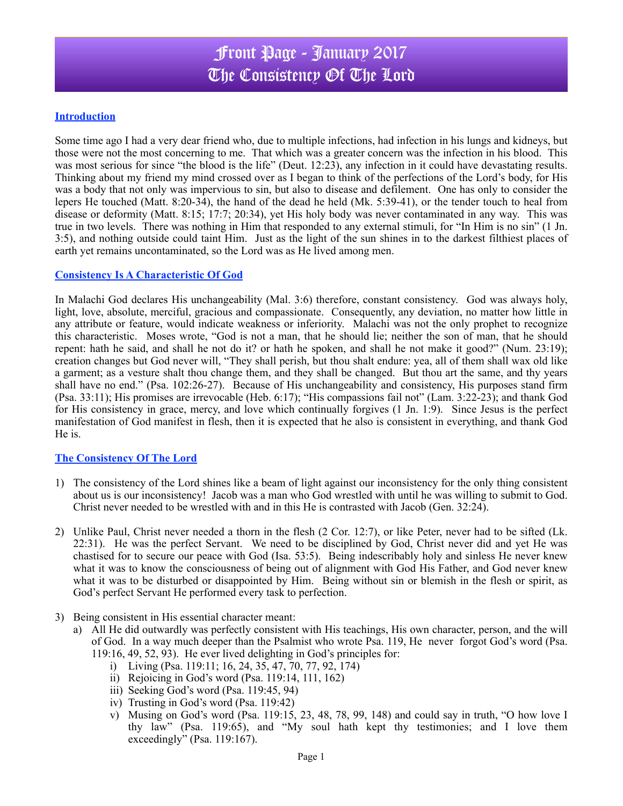# Front Page - January 2017 The Consistency Of The Lord

### **Introduction**

Some time ago I had a very dear friend who, due to multiple infections, had infection in his lungs and kidneys, but those were not the most concerning to me. That which was a greater concern was the infection in his blood. This was most serious for since "the blood is the life" (Deut. 12:23), any infection in it could have devastating results. Thinking about my friend my mind crossed over as I began to think of the perfections of the Lord's body, for His was a body that not only was impervious to sin, but also to disease and defilement. One has only to consider the lepers He touched (Matt. 8:20-34), the hand of the dead he held (Mk. 5:39-41), or the tender touch to heal from disease or deformity (Matt. 8:15; 17:7; 20:34), yet His holy body was never contaminated in any way. This was true in two levels. There was nothing in Him that responded to any external stimuli, for "In Him is no sin" (1 Jn. 3:5), and nothing outside could taint Him. Just as the light of the sun shines in to the darkest filthiest places of earth yet remains uncontaminated, so the Lord was as He lived among men.

### **Consistency Is A Characteristic Of God**

In Malachi God declares His unchangeability (Mal. 3:6) therefore, constant consistency. God was always holy, light, love, absolute, merciful, gracious and compassionate. Consequently, any deviation, no matter how little in any attribute or feature, would indicate weakness or inferiority. Malachi was not the only prophet to recognize this characteristic. Moses wrote, "God is not a man, that he should lie; neither the son of man, that he should repent: hath he said, and shall he not do it? or hath he spoken, and shall he not make it good?" (Num. 23:19); creation changes but God never will, "They shall perish, but thou shalt endure: yea, all of them shall wax old like a garment; as a vesture shalt thou change them, and they shall be changed. But thou art the same, and thy years shall have no end." (Psa. 102:26-27). Because of His unchangeability and consistency, His purposes stand firm (Psa. 33:11); His promises are irrevocable (Heb. 6:17); "His compassions fail not" (Lam. 3:22-23); and thank God for His consistency in grace, mercy, and love which continually forgives (1 Jn. 1:9). Since Jesus is the perfect manifestation of God manifest in flesh, then it is expected that he also is consistent in everything, and thank God He is.

#### **The Consistency Of The Lord**

- 1) The consistency of the Lord shines like a beam of light against our inconsistency for the only thing consistent about us is our inconsistency! Jacob was a man who God wrestled with until he was willing to submit to God. Christ never needed to be wrestled with and in this He is contrasted with Jacob (Gen. 32:24).
- 2) Unlike Paul, Christ never needed a thorn in the flesh (2 Cor. 12:7), or like Peter, never had to be sifted (Lk. 22:31). He was the perfect Servant. We need to be disciplined by God, Christ never did and yet He was chastised for to secure our peace with God (Isa. 53:5). Being indescribably holy and sinless He never knew what it was to know the consciousness of being out of alignment with God His Father, and God never knew what it was to be disturbed or disappointed by Him. Being without sin or blemish in the flesh or spirit, as God's perfect Servant He performed every task to perfection.
- 3) Being consistent in His essential character meant:
	- a) All He did outwardly was perfectly consistent with His teachings, His own character, person, and the will of God. In a way much deeper than the Psalmist who wrote Psa. 119, He never forgot God's word (Psa. 119:16, 49, 52, 93). He ever lived delighting in God's principles for:
		- i) Living (Psa. 119:11; 16, 24, 35, 47, 70, 77, 92, 174)
		- ii) Rejoicing in God's word (Psa. 119:14, 111, 162)
		- iii) Seeking God's word (Psa. 119:45, 94)
		- iv) Trusting in God's word (Psa. 119:42)
		- v) Musing on God's word (Psa. 119:15, 23, 48, 78, 99, 148) and could say in truth, "O how love I thy law" (Psa. 119:65), and "My soul hath kept thy testimonies; and I love them exceedingly" (Psa. 119:167).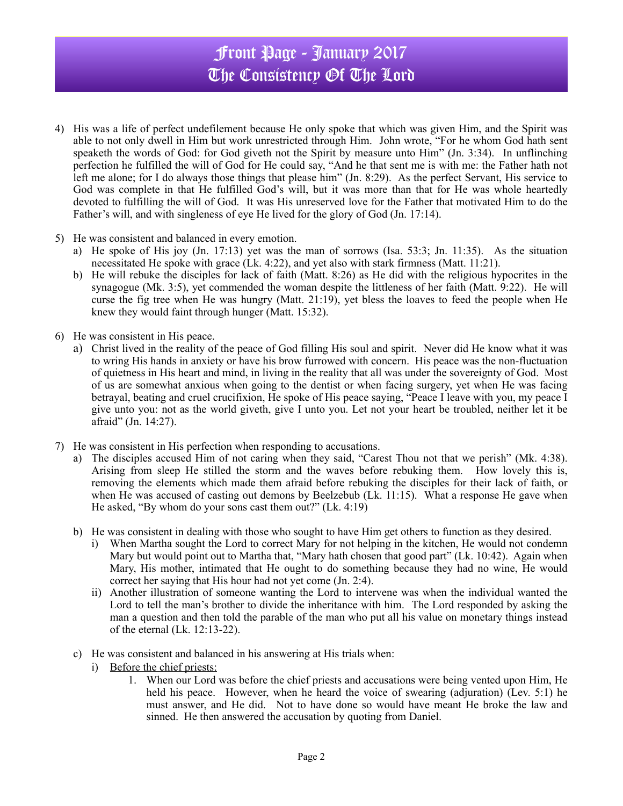# Front Page - January 2017 The Consistency Of The Lord

- 4) His was a life of perfect undefilement because He only spoke that which was given Him, and the Spirit was able to not only dwell in Him but work unrestricted through Him. John wrote, "For he whom God hath sent speaketh the words of God: for God giveth not the Spirit by measure unto Him" (Jn. 3:34). In unflinching perfection he fulfilled the will of God for He could say, "And he that sent me is with me: the Father hath not left me alone; for I do always those things that please him" (Jn. 8:29). As the perfect Servant, His service to God was complete in that He fulfilled God's will, but it was more than that for He was whole heartedly devoted to fulfilling the will of God. It was His unreserved love for the Father that motivated Him to do the Father's will, and with singleness of eye He lived for the glory of God (Jn. 17:14).
- 5) He was consistent and balanced in every emotion.
	- a) He spoke of His joy (Jn. 17:13) yet was the man of sorrows (Isa. 53:3; Jn. 11:35). As the situation necessitated He spoke with grace (Lk. 4:22), and yet also with stark firmness (Matt. 11:21).
	- b) He will rebuke the disciples for lack of faith (Matt. 8:26) as He did with the religious hypocrites in the synagogue (Mk. 3:5), yet commended the woman despite the littleness of her faith (Matt. 9:22). He will curse the fig tree when He was hungry (Matt. 21:19), yet bless the loaves to feed the people when He knew they would faint through hunger (Matt. 15:32).
- 6) He was consistent in His peace.
	- a) Christ lived in the reality of the peace of God filling His soul and spirit. Never did He know what it was to wring His hands in anxiety or have his brow furrowed with concern. His peace was the non-fluctuation of quietness in His heart and mind, in living in the reality that all was under the sovereignty of God. Most of us are somewhat anxious when going to the dentist or when facing surgery, yet when He was facing betrayal, beating and cruel crucifixion, He spoke of His peace saying, "Peace I leave with you, my peace I give unto you: not as the world giveth, give I unto you. Let not your heart be troubled, neither let it be afraid" (Jn. 14:27).
- 7) He was consistent in His perfection when responding to accusations.
	- a) The disciples accused Him of not caring when they said, "Carest Thou not that we perish" (Mk. 4:38). Arising from sleep He stilled the storm and the waves before rebuking them. How lovely this is, removing the elements which made them afraid before rebuking the disciples for their lack of faith, or when He was accused of casting out demons by Beelzebub (Lk. 11:15). What a response He gave when He asked, "By whom do your sons cast them out?" (Lk. 4:19)
	- b) He was consistent in dealing with those who sought to have Him get others to function as they desired.
		- i) When Martha sought the Lord to correct Mary for not helping in the kitchen, He would not condemn Mary but would point out to Martha that, "Mary hath chosen that good part" (Lk. 10:42). Again when Mary, His mother, intimated that He ought to do something because they had no wine, He would correct her saying that His hour had not yet come (Jn. 2:4).
		- ii) Another illustration of someone wanting the Lord to intervene was when the individual wanted the Lord to tell the man's brother to divide the inheritance with him. The Lord responded by asking the man a question and then told the parable of the man who put all his value on monetary things instead of the eternal (Lk. 12:13-22).
	- c) He was consistent and balanced in his answering at His trials when:
		- i) Before the chief priests:
			- 1. When our Lord was before the chief priests and accusations were being vented upon Him, He held his peace. However, when he heard the voice of swearing (adjuration) (Lev. 5:1) he must answer, and He did. Not to have done so would have meant He broke the law and sinned. He then answered the accusation by quoting from Daniel.